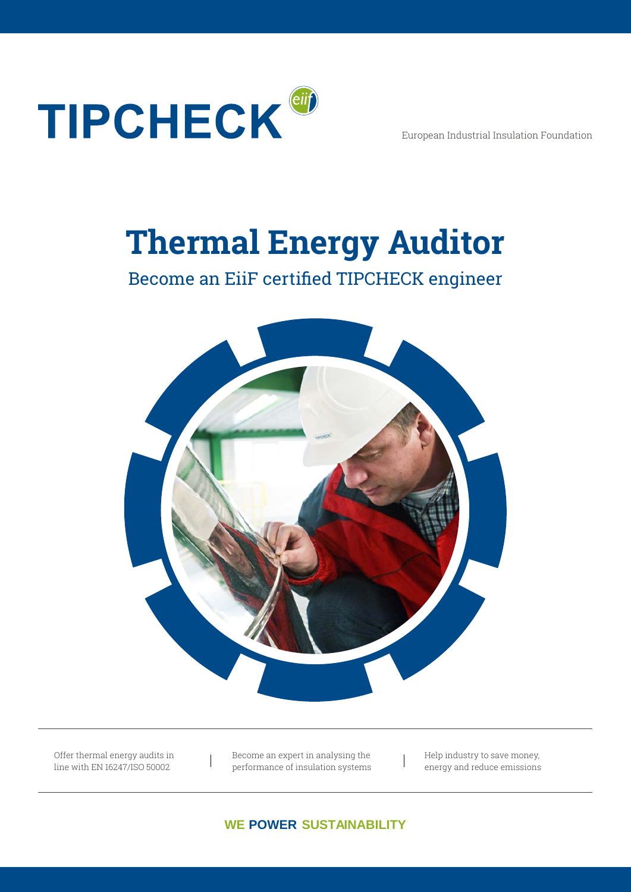

European Industrial Insulation Foundation

# **Thermal Energy Auditor**

## Become an EiiF certified TIPCHECK engineer



Offer thermal energy audits in line with EN 16247/ISO 50002

Become an expert in analysing the performance of insulation systems Help industry to save money, energy and reduce emissions

**WE POWER SUSTAINABILITY**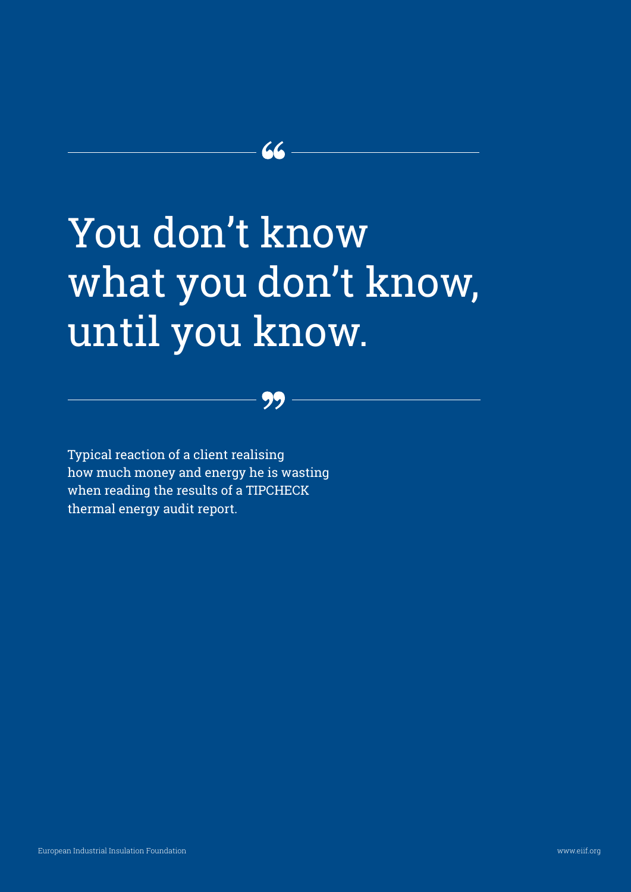# You don't know what you don't know, until you know.

 $\mathcal{L}\mathcal{L}$ 

Typical reaction of a client realising how much money and energy he is wasting when reading the results of a TIPCHECK thermal energy audit report.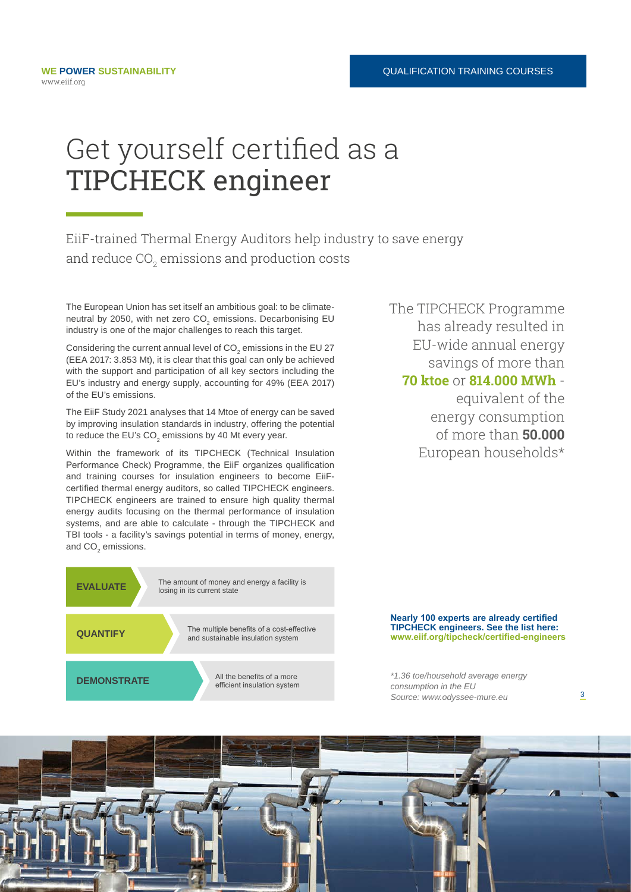# Get yourself certified as a TIPCHECK engineer

EiiF-trained Thermal Energy Auditors help industry to save energy and reduce CO $_{\textrm{\tiny{2}}}$  emissions and production costs

The European Union has set itself an ambitious goal: to be climateneutral by 2050, with net zero  $\mathsf{CO}_2$  emissions. Decarbonising EU industry is one of the major challenges to reach this target.

Considering the current annual level of CO $_{_2}$  emissions in the EU 27  $\,$ (EEA 2017: 3.853 Mt), it is clear that this goal can only be achieved with the support and participation of all key sectors including the EU's industry and energy supply, accounting for 49% (EEA 2017) of the EU's emissions.

The EiiF Study 2021 analyses that 14 Mtoe of energy can be saved by improving insulation standards in industry, offering the potential to reduce the EU's CO $_{\textrm{\tiny{2}}}$  emissions by 40 Mt every year.

Within the framework of its TIPCHECK (Technical Insulation Performance Check) Programme, the EiiF organizes qualification and training courses for insulation engineers to become EiiFcertified thermal energy auditors, so called TIPCHECK engineers. TIPCHECK engineers are trained to ensure high quality thermal energy audits focusing on the thermal performance of insulation systems, and are able to calculate - through the TIPCHECK and TBI tools - a facility's savings potential in terms of money, energy, and  $\mathsf{CO}_2$  emissions.



The TIPCHECK Programme has already resulted in EU-wide annual energy savings of more than **70 ktoe** or **814.000 MWh** -

> equivalent of the energy consumption of more than **50.000** European households\*

**Nearly 100 experts are already certified TIPCHECK engineers. See the list here: www.eiif.org/tipcheck/certified-engineers**

3

*\*1.36 toe/household average energy consumption in the EU Source: www.odyssee-mure.eu*

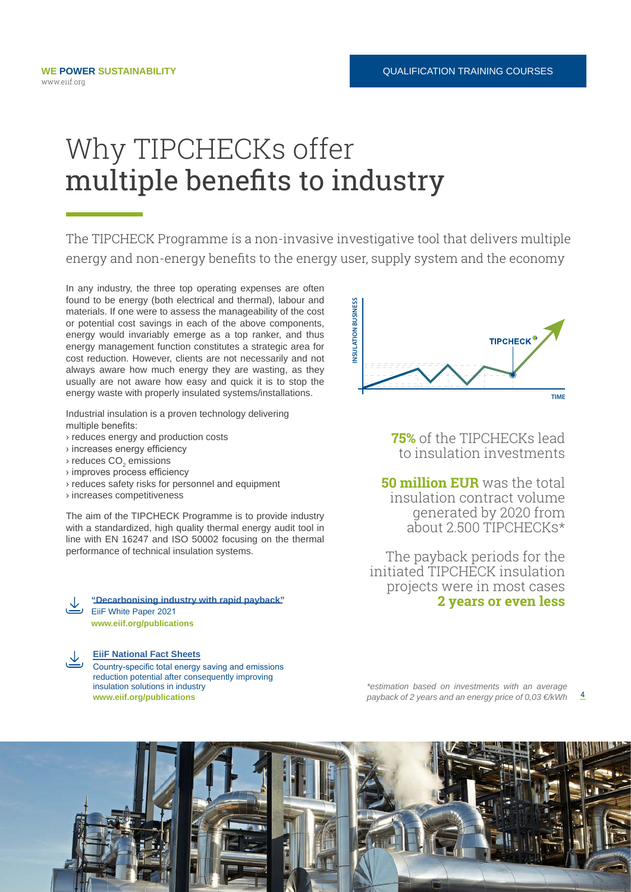# Why TIPCHECKs offer multiple benefits to industry

The TIPCHECK Programme is a non-invasive investigative tool that delivers multiple energy and non-energy benefits to the energy user, supply system and the economy

In any industry, the three top operating expenses are often found to be energy (both electrical and thermal), labour and materials. If one were to assess the manageability of the cost or potential cost savings in each of the above components, energy would invariably emerge as a top ranker, and thus energy management function constitutes a strategic area for cost reduction. However, clients are not necessarily and not always aware how much energy they are wasting, as they usually are not aware how easy and quick it is to stop the energy waste with properly insulated systems/installations.

Industrial insulation is a proven technology delivering multiple benefits:

- › reduces energy and production costs
- › increases energy efficiency
- $\scriptstyle\rm \circ$  reduces CO $\scriptstyle\rm _2$  emissions
- › improves process efficiency
- › reduces safety risks for personnel and equipment
- › increases competitiveness

The aim of the TIPCHECK Programme is to provide industry with a standardized, high quality thermal energy audit tool in line with EN 16247 and ISO 50002 focusing on the thermal performance of technical insulation systems.

**["Decarbonising industry with rapid payback"](https://www.eiif.org/sites/default/files/2021-02/EiiF_White_Paper_2021_0.pdf) 2 years or even less 2** FiiF White Paper 2021 **<www.eiif.org/publications>**

**[EiiF National Fact Sheets](https://www.eiif.org/publications)**

Country-specific total energy saving and emissions reduction potential after consequently improving insulation solutions in industry **<www.eiif.org/publications>**



**75%** of the TIPCHECKs lead to insulation investments

**50 million EUR** was the total insulation contract volume generated by 2020 from about 2.500 TIPCHECKS\*

 The payback periods for the initiated TIPCHECK insulation projects were in most cases

4 *\*estimation based on investments with an average payback of 2 years and an energy price of 0,03 €/kWh*

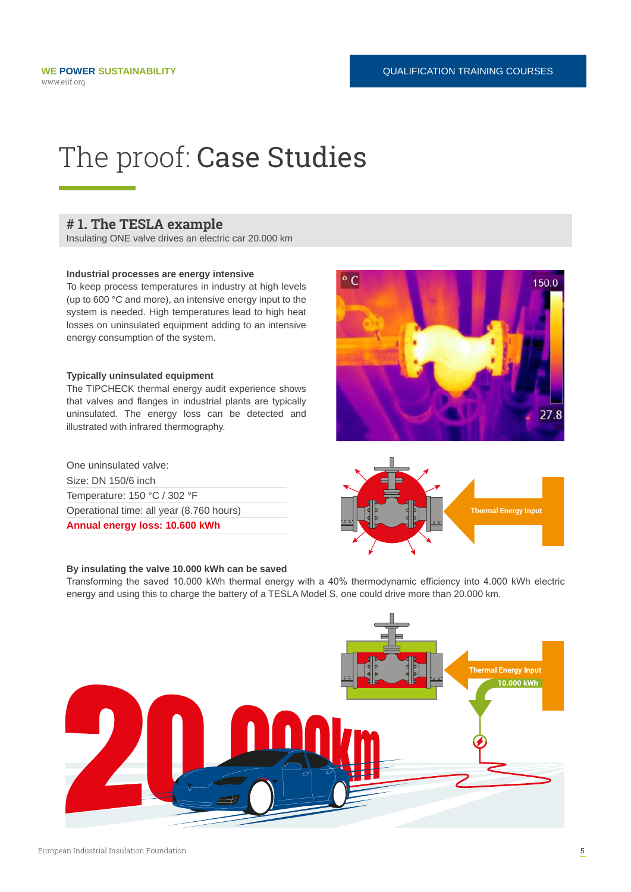# The proof: Case Studies

#### **# 1. The TESLA example**

Insulating ONE valve drives an electric car 20.000 km

#### **Industrial processes are energy intensive**

To keep process temperatures in industry at high levels (up to 600 °C and more), an intensive energy input to the system is needed. High temperatures lead to high heat losses on uninsulated equipment adding to an intensive energy consumption of the system.

#### **Typically uninsulated equipment**

The TIPCHECK thermal energy audit experience shows that valves and flanges in industrial plants are typically uninsulated. The energy loss can be detected and illustrated with infrared thermography.

Size: DN 150/6 inch Temperature: 150 °C / 302 °F Operational time: all year (8.760 hours) **Annual energy loss: 10.600 kWh** One uninsulated valve:

#### **By insulating the valve 10.000 kWh can be saved**





Transforming the saved 10.000 kWh thermal energy with a 40% thermodynamic efficiency into 4.000 kWh electric energy and using this to charge the battery of a TESLA Model S, one could drive more than 20.000 km.

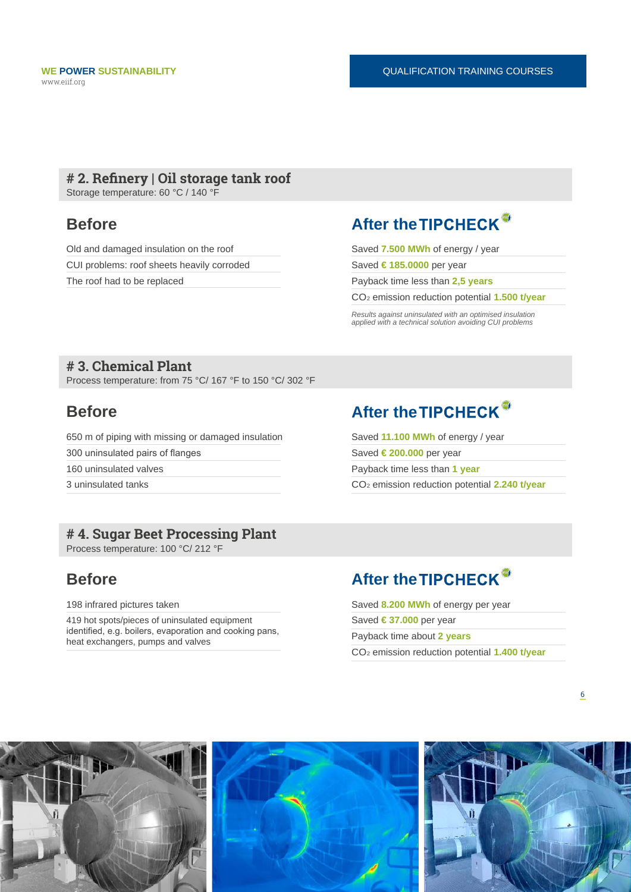### **# 2. Refinery | Oil storage tank roof**

Storage temperature: 60 °C / 140 °F

Old and damaged insulation on the roof CUI problems: roof sheets heavily corroded The roof had to be replaced

### **Before After the TIPCHECK**<sup>®</sup>

Saved **7.500 MWh** of energy / year

Saved **€ 185.0000** per year

Payback time less than **2,5 years**

CO2 emission reduction potential **1.500 t/year**

*Results against uninsulated with an optimised insulation applied with a technical solution avoiding CUI problems*

### **# 3. Chemical Plant**

Process temperature: from 75 °C/ 167 °F to 150 °C/ 302 °F

650 m of piping with missing or damaged insulation 300 uninsulated pairs of flanges 160 uninsulated valves 3 uninsulated tanks

### **# 4. Sugar Beet Processing Plant**

Process temperature: 100 °C/ 212 °F

198 infrared pictures taken

419 hot spots/pieces of uninsulated equipment identified, e.g. boilers, evaporation and cooking pans, heat exchangers, pumps and valves

### **Before After the TIPCHECK**<sup>®</sup>

Saved **11.100 MWh** of energy / year Saved **€ 200.000** per year Payback time less than **1 year** CO2 emission reduction potential **2.240 t/year**

## **Before After the TIPCHECK**<sup>®</sup>

Saved **8.200 MWh** of energy per year Saved **€ 37.000** per year Payback time about **2 years** CO2 emission reduction potential **1.400 t/year**

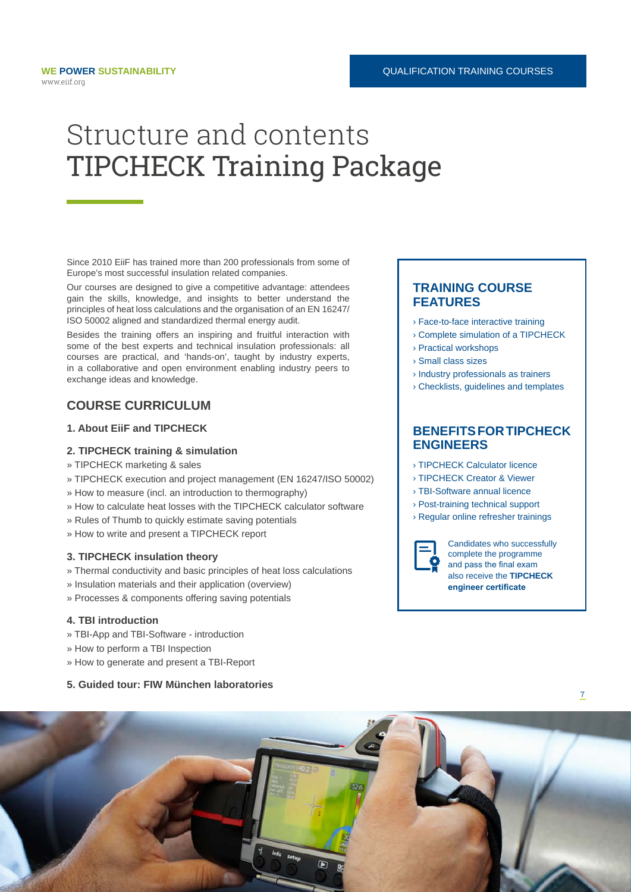# Structure and contents TIPCHECK Training Package

Since 2010 EiiF has trained more than 200 professionals from some of Europe's most successful insulation related companies.

Our courses are designed to give a competitive advantage: attendees gain the skills, knowledge, and insights to better understand the principles of heat loss calculations and the organisation of an EN 16247/ ISO 50002 aligned and standardized thermal energy audit.

Besides the training offers an inspiring and fruitful interaction with some of the best experts and technical insulation professionals: all courses are practical, and 'hands-on', taught by industry experts, in a collaborative and open environment enabling industry peers to exchange ideas and knowledge.

#### **COURSE CURRICULUM**

#### **1. About EiiF and TIPCHECK**

#### **2. TIPCHECK training & simulation**

- » TIPCHECK marketing & sales
- » TIPCHECK execution and project management (EN 16247/ISO 50002)
- » How to measure (incl. an introduction to thermography)
- » How to calculate heat losses with the TIPCHECK calculator software
- » Rules of Thumb to quickly estimate saving potentials
- » How to write and present a TIPCHECK report

#### **3. TIPCHECK insulation theory**

- » Thermal conductivity and basic principles of heat loss calculations
- » Insulation materials and their application (overview)
- » Processes & components offering saving potentials

#### **4. TBI introduction**

- » TBI-App and TBI-Software introduction
- » How to perform a TBI Inspection
- » How to generate and present a TBI-Report

#### **5. Guided tour: FIW München laboratories**

#### **TRAINING COURSE FEATURES**

- › Face-to-face interactive training
- › Complete simulation of a TIPCHECK
- › Practical workshops
- › Small class sizes
- › Industry professionals as trainers
- › Checklists, guidelines and templates

#### **BENEFITS FOR TIPCHECK ENGINEERS**

- › TIPCHECK Calculator licence
- › TIPCHECK Creator & Viewer
- › TBI-Software annual licence
- › Post-training technical support
- › Regular online refresher trainings



Candidates who successfully complete the programme and pass the final exam also receive the **TIPCHECK engineer certificate**

7

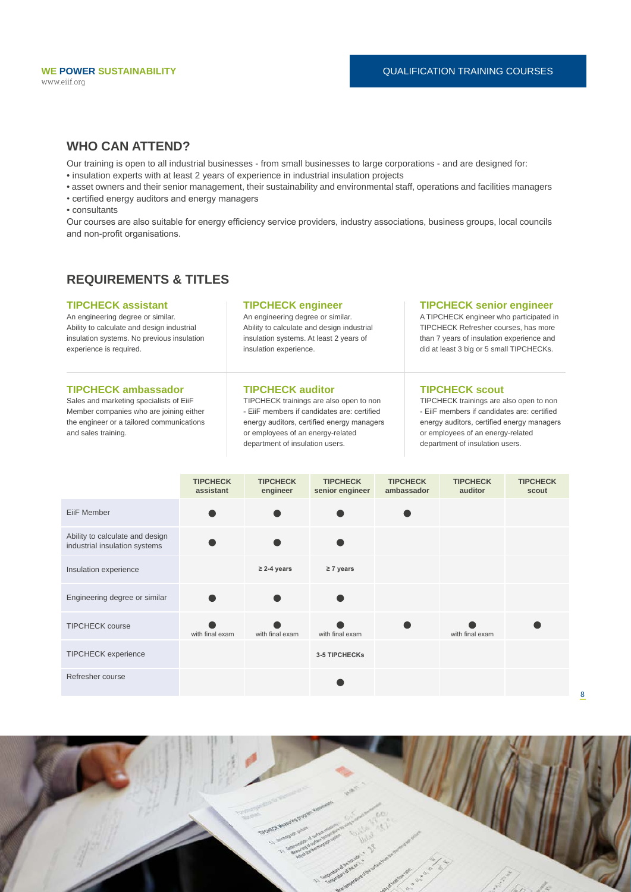#### **WHO CAN ATTEND?**

Our training is open to all industrial businesses - from small businesses to large corporations - and are designed for:

• insulation experts with at least 2 years of experience in industrial insulation projects

• asset owners and their senior management, their sustainability and environmental staff, operations and facilities managers

• certified energy auditors and energy managers

• consultants

Our courses are also suitable for energy efficiency service providers, industry associations, business groups, local councils and non-profit organisations.

#### **REQUIREMENTS & TITLES**

#### **TIPCHECK assistant**

An engineering degree or similar. Ability to calculate and design industrial insulation systems. No previous insulation experience is required.

#### **TIPCHECK ambassador**

Sales and marketing specialists of EiiF Member companies who are joining either the engineer or a tailored communications and sales training.

#### **TIPCHECK engineer**

An engineering degree or similar. Ability to calculate and design industrial insulation systems. At least 2 years of insulation experience.

#### **TIPCHECK auditor**

TIPCHECK trainings are also open to non - EiiF members if candidates are: certified energy auditors, certified energy managers or employees of an energy-related department of insulation users.

#### **TIPCHECK senior engineer**

A TIPCHECK engineer who participated in TIPCHECK Refresher courses, has more than 7 years of insulation experience and did at least 3 big or 5 small TIPCHECKs.

#### **TIPCHECK scout**

TIPCHECK trainings are also open to non - EiiF members if candidates are: certified energy auditors, certified energy managers or employees of an energy-related department of insulation users.

8

|                                                                  | <b>TIPCHECK</b><br>assistant | <b>TIPCHECK</b><br>engineer | <b>TIPCHECK</b><br>senior engineer | <b>TIPCHECK</b><br>ambassador | <b>TIPCHECK</b><br>auditor | <b>TIPCHECK</b><br>scout |
|------------------------------------------------------------------|------------------------------|-----------------------------|------------------------------------|-------------------------------|----------------------------|--------------------------|
| EiiF Member                                                      |                              |                             |                                    |                               |                            |                          |
| Ability to calculate and design<br>industrial insulation systems |                              |                             |                                    |                               |                            |                          |
| Insulation experience                                            |                              | $\geq$ 2-4 years            | $\geq 7$ years                     |                               |                            |                          |
| Engineering degree or similar                                    |                              |                             |                                    |                               |                            |                          |
| <b>TIPCHECK course</b>                                           | with final exam              | with final exam             | with final exam                    |                               | with final exam            |                          |
| <b>TIPCHECK</b> experience                                       |                              |                             | <b>3-5 TIPCHECKS</b>               |                               |                            |                          |
| Refresher course                                                 |                              |                             |                                    |                               |                            |                          |

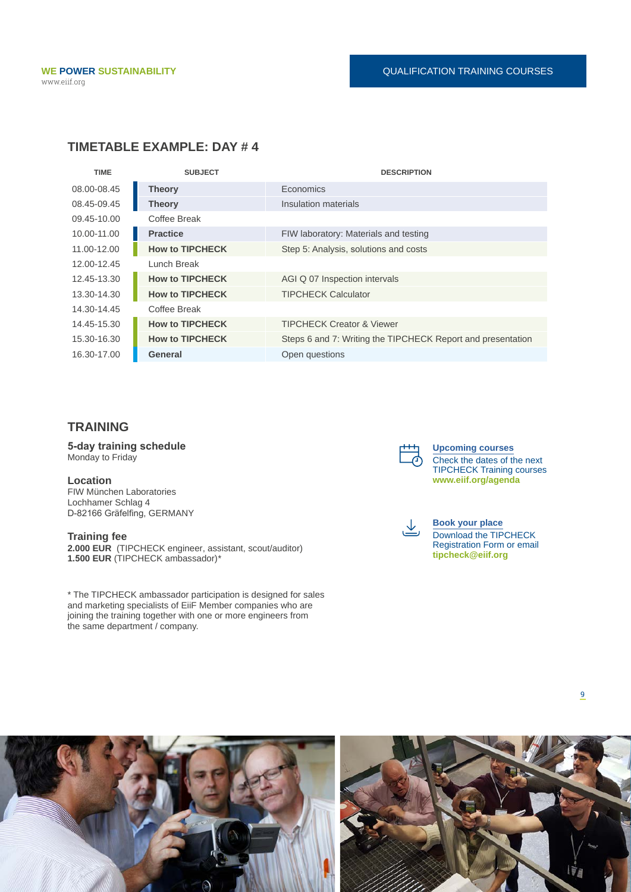### **TIMETABLE EXAMPLE: DAY # 4**

| <b>TIME</b> | <b>SUBJECT</b>         | <b>DESCRIPTION</b>                                          |
|-------------|------------------------|-------------------------------------------------------------|
| 08.00-08.45 | <b>Theory</b>          | Economics                                                   |
| 08.45-09.45 | <b>Theory</b>          | Insulation materials                                        |
| 09.45-10.00 | Coffee Break           |                                                             |
| 10.00-11.00 | <b>Practice</b>        | FIW laboratory: Materials and testing                       |
| 11.00-12.00 | <b>How to TIPCHECK</b> | Step 5: Analysis, solutions and costs                       |
| 12.00-12.45 | Lunch Break            |                                                             |
| 12.45-13.30 | <b>How to TIPCHECK</b> | AGI Q 07 Inspection intervals                               |
| 13.30-14.30 | <b>How to TIPCHECK</b> | <b>TIPCHECK Calculator</b>                                  |
| 14.30-14.45 | Coffee Break           |                                                             |
| 14.45-15.30 | <b>How to TIPCHECK</b> | <b>TIPCHECK Creator &amp; Viewer</b>                        |
| 15.30-16.30 | <b>How to TIPCHECK</b> | Steps 6 and 7: Writing the TIPCHECK Report and presentation |
| 16.30-17.00 | General                | Open questions                                              |

### **TRAINING**

**5-day training schedule** Monday to Friday

#### **Location**

FIW München Laboratories Lochhamer Schlag 4 D-82166 Gräfelfing, GERMANY

#### **Training fee**

**2.000 EUR** (TIPCHECK engineer, assistant, scout/auditor) **1.500 EUR** (TIPCHECK ambassador)*\**

\* The TIPCHECK ambassador participation is designed for sales and marketing specialists of EiiF Member companies who are joining the training together with one or more engineers from the same department / company.



**[Upcoming courses](https://www.eiif.org/agenda)** Check the dates of the next TIPCHECK Training courses **<www.eiif.org/agenda>**



**[Book your place](https://web.tresorit.com/l/LuP3E#TFClT0OjuPYTzM_8D21blw)** Download the TIPCHECK Registration Form or email **tipcheck@eiif.org**